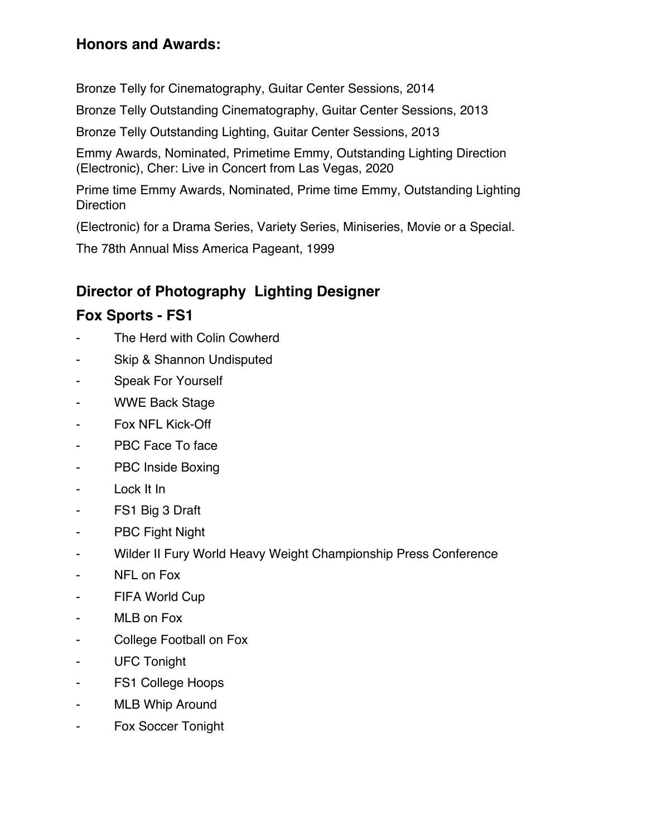#### **Honors and Awards:**

Bronze Telly for Cinematography, Guitar Center Sessions, 2014

Bronze Telly Outstanding Cinematography, Guitar Center Sessions, 2013

Bronze Telly Outstanding Lighting, Guitar Center Sessions, 2013

Emmy Awards, Nominated, Primetime Emmy, Outstanding Lighting Direction (Electronic), Cher: Live in Concert from Las Vegas, 2020

Prime time Emmy Awards, Nominated, Prime time Emmy, Outstanding Lighting **Direction** 

(Electronic) for a Drama Series, Variety Series, Miniseries, Movie or a Special.

The 78th Annual Miss America Pageant, 1999

### **Director of Photography Lighting Designer**

#### **Fox Sports - FS1**

- The Herd with Colin Cowherd
- Skip & Shannon Undisputed
- Speak For Yourself
- WWE Back Stage
- Fox NFL Kick-Off
- PBC Face To face
- PBC Inside Boxing
- Lock It In
- FS1 Big 3 Draft
- PBC Fight Night
- Wilder II Fury World Heavy Weight Championship Press Conference
- NFL on Fox
- FIFA World Cup
- MLB on Fox
- College Football on Fox
- UFC Tonight
- FS1 College Hoops
- MLB Whip Around
- Fox Soccer Tonight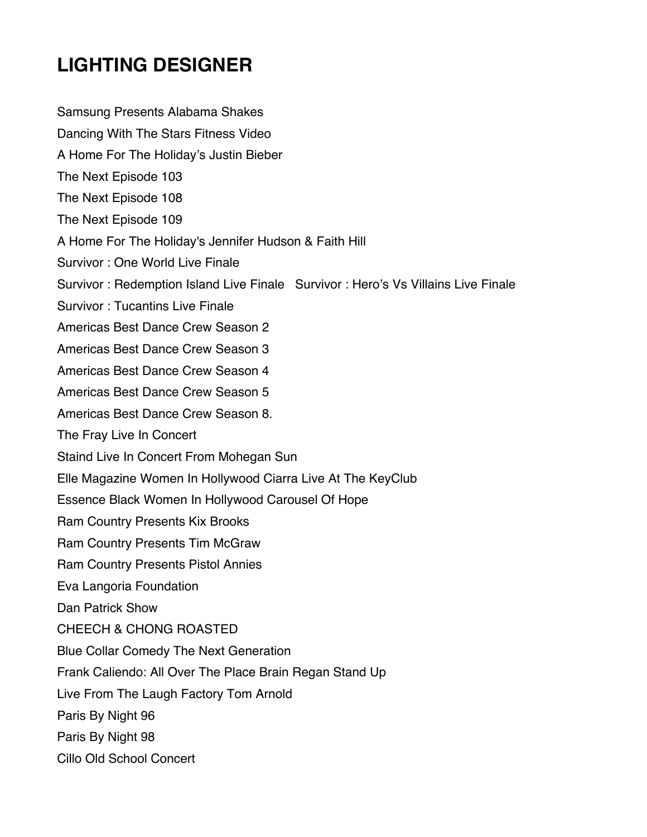Samsung Presents Alabama Shakes Dancing With The Stars Fitness Video A Home For The Holiday's Justin Bieber The Next Episode 103 The Next Episode 108 The Next Episode 109 A Home For The Holiday's Jennifer Hudson & Faith Hill Survivor : One World Live Finale Survivor : Redemption Island Live Finale Survivor : Hero's Vs Villains Live Finale Survivor : Tucantins Live Finale Americas Best Dance Crew Season 2 Americas Best Dance Crew Season 3 Americas Best Dance Crew Season 4 Americas Best Dance Crew Season 5 Americas Best Dance Crew Season 8. The Fray Live In Concert Staind Live In Concert From Mohegan Sun Elle Magazine Women In Hollywood Ciarra Live At The KeyClub Essence Black Women In Hollywood Carousel Of Hope Ram Country Presents Kix Brooks Ram Country Presents Tim McGraw Ram Country Presents Pistol Annies Eva Langoria Foundation Dan Patrick Show CHEECH & CHONG ROASTED Blue Collar Comedy The Next Generation Frank Caliendo: All Over The Place Brain Regan Stand Up Live From The Laugh Factory Tom Arnold Paris By Night 96 Paris By Night 98 Cillo Old School Concert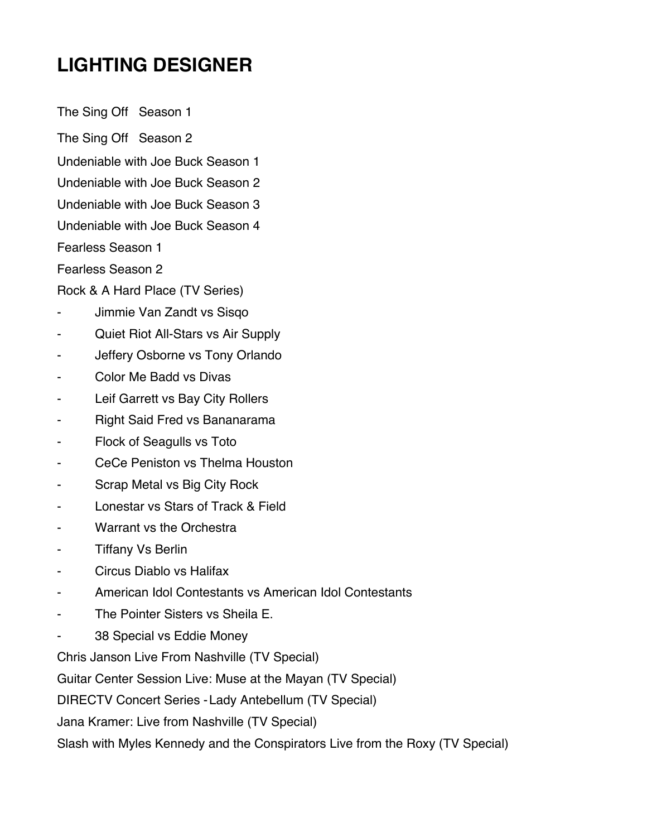The Sing Off Season 1 The Sing Off Season 2 Undeniable with Joe Buck Season 1 Undeniable with Joe Buck Season 2 Undeniable with Joe Buck Season 3 Undeniable with Joe Buck Season 4 Fearless Season 1 Fearless Season 2

Rock & A Hard Place (TV Series)

- Jimmie Van Zandt vs Sisqo
- Quiet Riot All-Stars vs Air Supply
- Jeffery Osborne vs Tony Orlando
- Color Me Badd vs Divas
- Leif Garrett vs Bay City Rollers
- Right Said Fred vs Bananarama
- Flock of Seagulls vs Toto
- CeCe Peniston vs Thelma Houston
- Scrap Metal vs Big City Rock
- Lonestar vs Stars of Track & Field
- Warrant vs the Orchestra
- Tiffany Vs Berlin
- Circus Diablo vs Halifax
- American Idol Contestants vs American Idol Contestants
- The Pointer Sisters vs Sheila E.
- 38 Special vs Eddie Money

Chris Janson Live From Nashville (TV Special)

Guitar Center Session Live: Muse at the Mayan (TV Special)

DIRECTV Concert Series -Lady Antebellum (TV Special)

Jana Kramer: Live from Nashville (TV Special)

Slash with Myles Kennedy and the Conspirators Live from the Roxy (TV Special)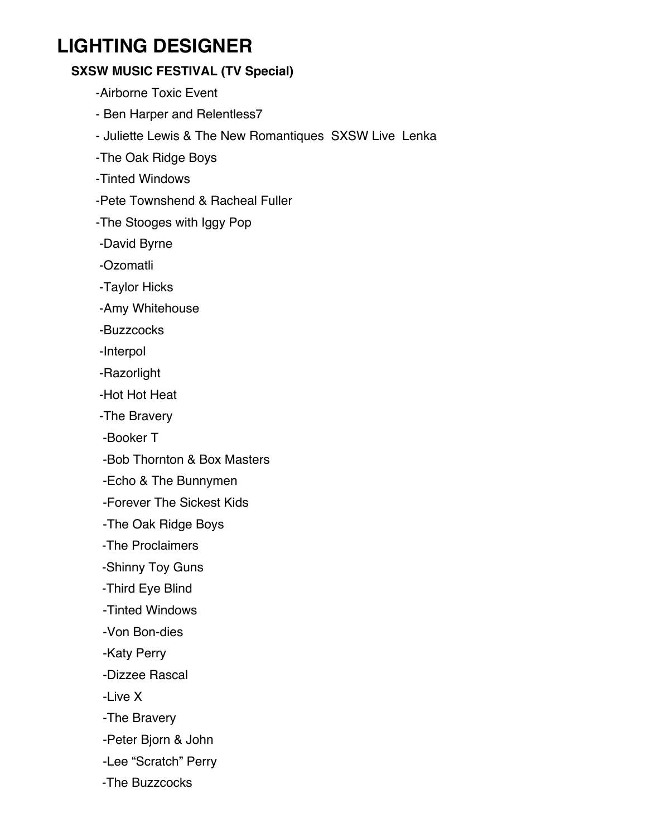#### **SXSW MUSIC FESTIVAL (TV Special)**

-Airborne Toxic Event

- Ben Harper and Relentless7
- Juliette Lewis & The New Romantiques SXSW Live Lenka
- -The Oak Ridge Boys
- -Tinted Windows
- -Pete Townshend & Racheal Fuller
- -The Stooges with Iggy Pop
- -David Byrne
- -Ozomatli
- -Taylor Hicks
- -Amy Whitehouse
- -Buzzcocks
- -Interpol
- -Razorlight
- -Hot Hot Heat
- -The Bravery
- -Booker T
- -Bob Thornton & Box Masters
- -Echo & The Bunnymen
- -Forever The Sickest Kids
- -The Oak Ridge Boys
- -The Proclaimers
- -Shinny Toy Guns
- -Third Eye Blind
- -Tinted Windows
- -Von Bon-dies
- -Katy Perry
- -Dizzee Rascal
- -Live X
- -The Bravery
- -Peter Bjorn & John
- -Lee "Scratch" Perry
- -The Buzzcocks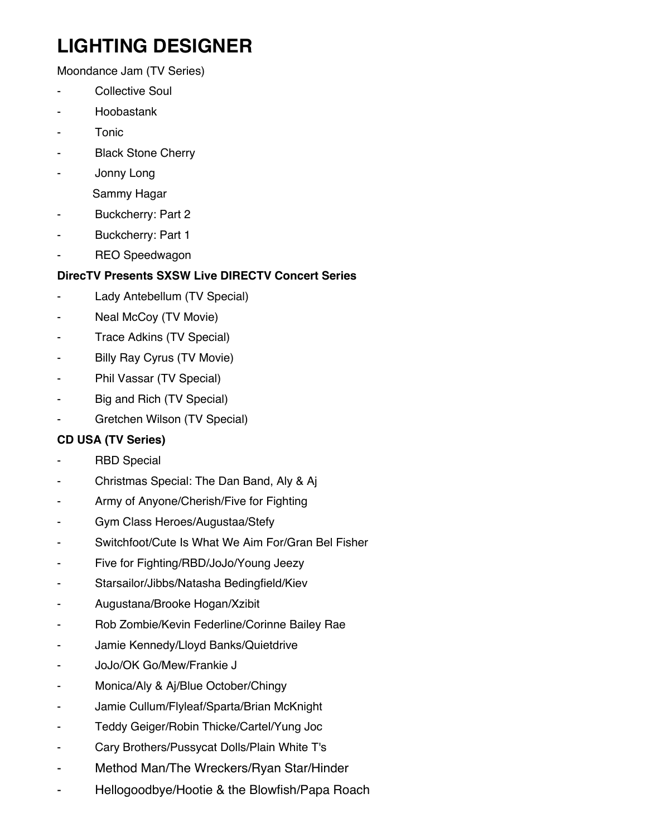Moondance Jam (TV Series)

- Collective Soul
- **Hoobastank**
- **Tonic**
- **Black Stone Cherry**
- Jonny Long
	- Sammy Hagar
- Buckcherry: Part 2
- Buckcherry: Part 1
- REO Speedwagon

#### **DirecTV Presents SXSW Live DIRECTV Concert Series**

- Lady Antebellum (TV Special)
- Neal McCoy (TV Movie)
- Trace Adkins (TV Special)
- Billy Ray Cyrus (TV Movie)
- Phil Vassar (TV Special)
- Big and Rich (TV Special)
- Gretchen Wilson (TV Special)

#### **CD USA (TV Series)**

- **RBD Special**
- Christmas Special: The Dan Band, Aly & Aj
- Army of Anyone/Cherish/Five for Fighting
- Gym Class Heroes/Augustaa/Stefy
- Switchfoot/Cute Is What We Aim For/Gran Bel Fisher
- Five for Fighting/RBD/JoJo/Young Jeezy
- Starsailor/Jibbs/Natasha Bedingfield/Kiev
- Augustana/Brooke Hogan/Xzibit
- Rob Zombie/Kevin Federline/Corinne Bailey Rae
- Jamie Kennedy/Lloyd Banks/Quietdrive
- JoJo/OK Go/Mew/Frankie J
- Monica/Aly & Aj/Blue October/Chingy
- Jamie Cullum/Flyleaf/Sparta/Brian McKnight
- Teddy Geiger/Robin Thicke/Cartel/Yung Joc
- Cary Brothers/Pussycat Dolls/Plain White T's
- Method Man/The Wreckers/Ryan Star/Hinder
- Hellogoodbye/Hootie & the Blowfish/Papa Roach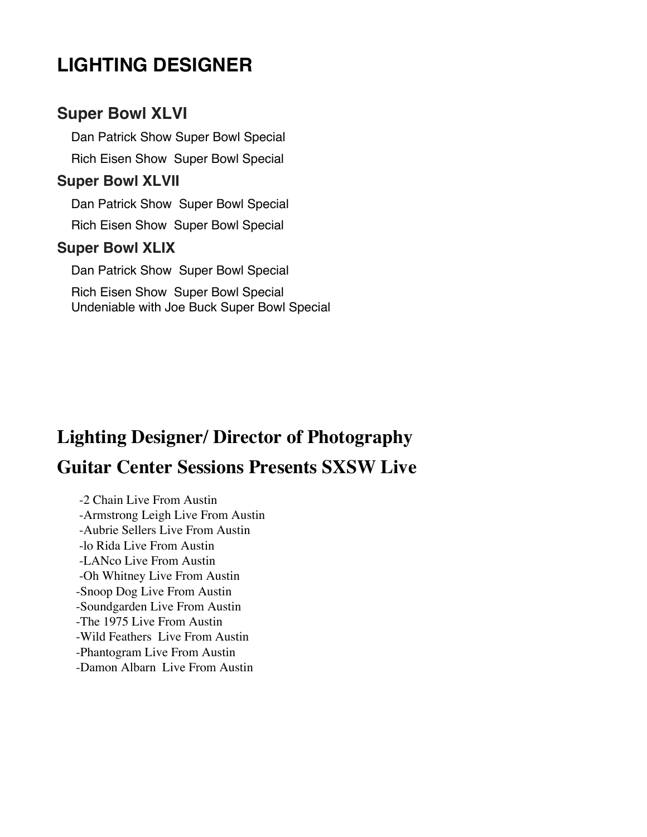### **Super Bowl XLVI**

Dan Patrick Show Super Bowl Special Rich Eisen Show Super Bowl Special

#### **Super Bowl XLVII**

Dan Patrick Show Super Bowl Special Rich Eisen Show Super Bowl Special

#### **Super Bowl XLIX**

Dan Patrick Show Super Bowl Special Rich Eisen Show Super Bowl Special Undeniable with Joe Buck Super Bowl Special

# **Lighting Designer/ Director of Photography Guitar Center Sessions Presents SXSW Live**

-2 Chain Live From Austin -Armstrong Leigh Live From Austin -Aubrie Sellers Live From Austin -lo Rida Live From Austin -LANco Live From Austin -Oh Whitney Live From Austin -Snoop Dog Live From Austin -Soundgarden Live From Austin -The 1975 Live From Austin -Wild Feathers Live From Austin -Phantogram Live From Austin -Damon Albarn Live From Austin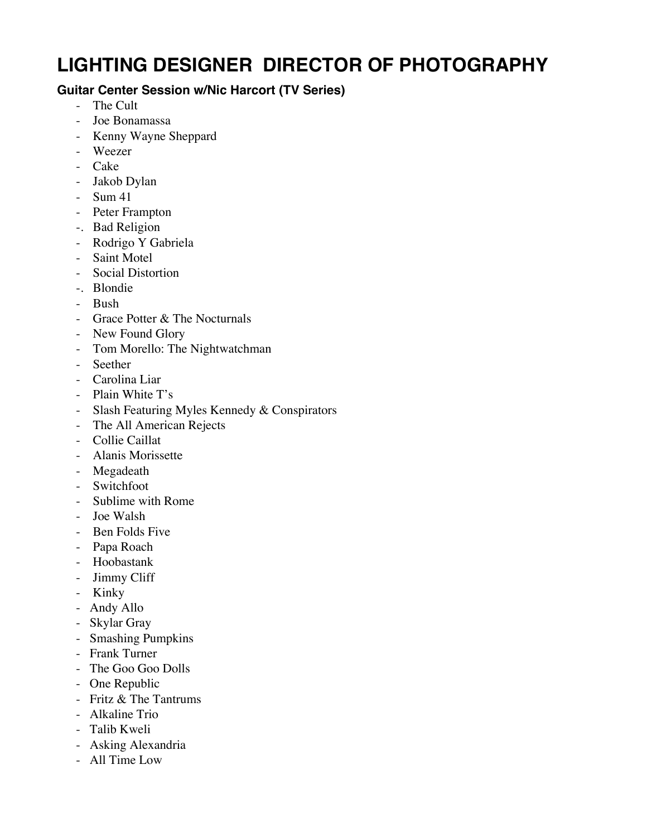#### **Guitar Center Session w/Nic Harcort (TV Series)**

- The Cult
- Joe Bonamassa
- Kenny Wayne Sheppard
- Weezer
- Cake
- Jakob Dylan
- Sum 41
- Peter Frampton
- -. Bad Religion
- Rodrigo Y Gabriela
- Saint Motel
- Social Distortion
- -. Blondie
- Bush
- Grace Potter & The Nocturnals
- New Found Glory
- Tom Morello: The Nightwatchman
- Seether
- Carolina Liar
- Plain White T's
- Slash Featuring Myles Kennedy & Conspirators
- The All American Rejects
- Collie Caillat
- Alanis Morissette
- Megadeath
- Switchfoot
- Sublime with Rome
- Joe Walsh
- Ben Folds Five
- Papa Roach
- Hoobastank
- Jimmy Cliff
- Kinky
- Andy Allo
- Skylar Gray
- Smashing Pumpkins
- Frank Turner
- The Goo Goo Dolls
- One Republic
- Fritz & The Tantrums
- Alkaline Trio
- Talib Kweli
- Asking Alexandria
- All Time Low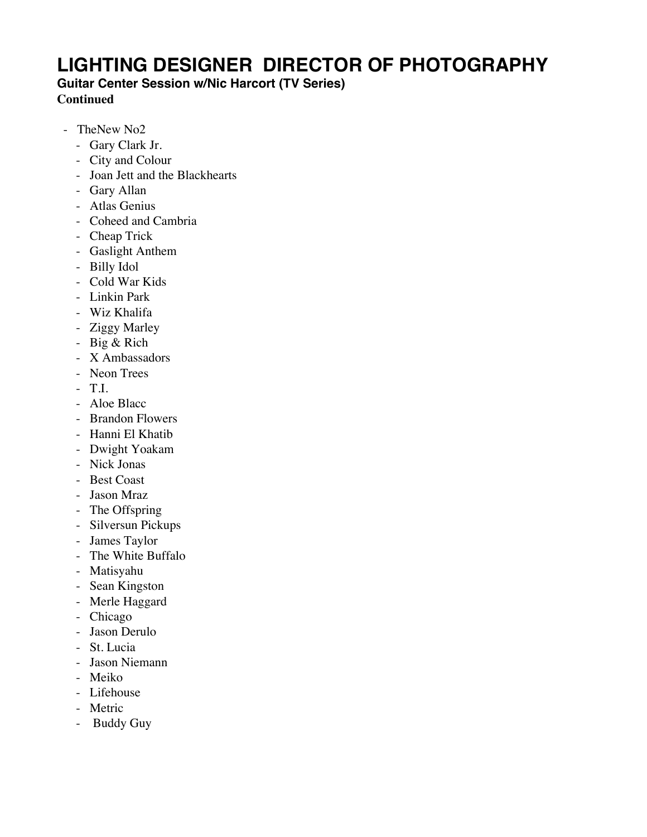**Guitar Center Session w/Nic Harcort (TV Series)**

**Continued**

- TheNew No2
	- Gary Clark Jr.
	- City and Colour
	- Joan Jett and the Blackhearts
	- Gary Allan
	- Atlas Genius
	- Coheed and Cambria
	- Cheap Trick
	- Gaslight Anthem
	- Billy Idol
	- Cold War Kids
	- Linkin Park
	- Wiz Khalifa
	- Ziggy Marley
	- Big & Rich
	- X Ambassadors
	- Neon Trees
	- T.I.
	- Aloe Blacc
	- Brandon Flowers
	- Hanni El Khatib
	- Dwight Yoakam
	- Nick Jonas
	- Best Coast
	- Jason Mraz
	- The Offspring
	- Silversun Pickups
	- James Taylor
	- The White Buffalo
	- Matisyahu
	- Sean Kingston
	- Merle Haggard
	- Chicago
	- Jason Derulo
	- St. Lucia
	- Jason Niemann
	- Meiko
	- Lifehouse
	- Metric
	- Buddy Guy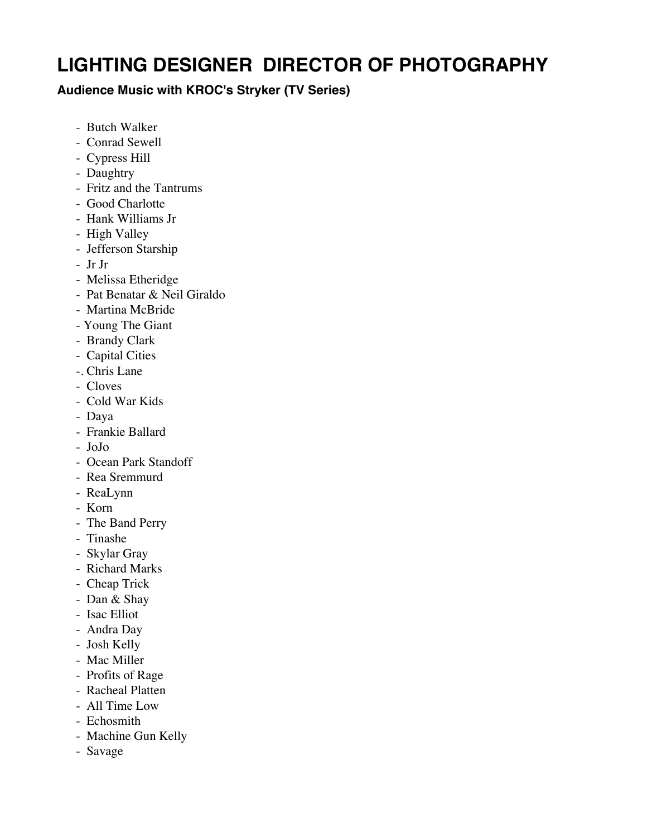#### **Audience Music with KROC's Stryker (TV Series)**

- Butch Walker
- Conrad Sewell
- Cypress Hill
- Daughtry
- Fritz and the Tantrums
- Good Charlotte
- Hank Williams Jr
- High Valley
- Jefferson Starship
- Jr Jr
- Melissa Etheridge
- Pat Benatar & Neil Giraldo
- Martina McBride
- Young The Giant
- Brandy Clark
- Capital Cities
- -. Chris Lane
- Cloves
- Cold War Kids
- Daya
- Frankie Ballard
- JoJo
- Ocean Park Standoff
- Rea Sremmurd
- ReaLynn
- Korn
- The Band Perry
- Tinashe
- Skylar Gray
- Richard Marks
- Cheap Trick
- Dan & Shay
- Isac Elliot
- Andra Day
- Josh Kelly
- Mac Miller
- Profits of Rage
- Racheal Platten
- All Time Low
- Echosmith
- Machine Gun Kelly
- Savage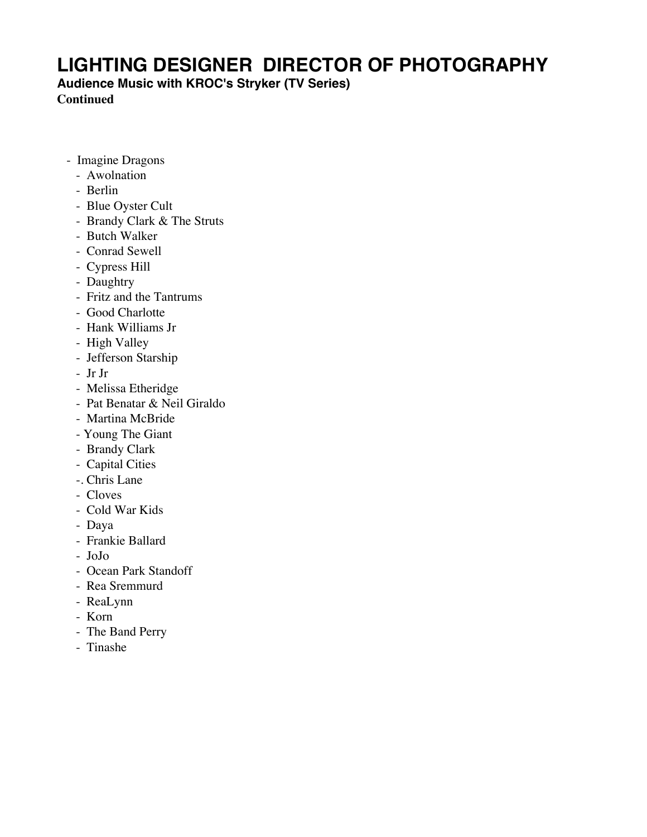**Audience Music with KROC's Stryker (TV Series)**

**Continued**

- Imagine Dragons
	- Awolnation
	- Berlin
	- Blue Oyster Cult
	- Brandy Clark & The Struts
	- Butch Walker
	- Conrad Sewell
	- Cypress Hill
	- Daughtry
	- Fritz and the Tantrums
	- Good Charlotte
	- Hank Williams Jr
	- High Valley
	- Jefferson Starship
	- Jr Jr
	- Melissa Etheridge
	- Pat Benatar & Neil Giraldo
	- Martina McBride
	- Young The Giant
	- Brandy Clark
	- Capital Cities
	- -. Chris Lane
	- Cloves
	- Cold War Kids
	- Daya
	- Frankie Ballard
	- JoJo
	- Ocean Park Standoff
	- Rea Sremmurd
	- ReaLynn
	- Korn
	- The Band Perry
	- Tinashe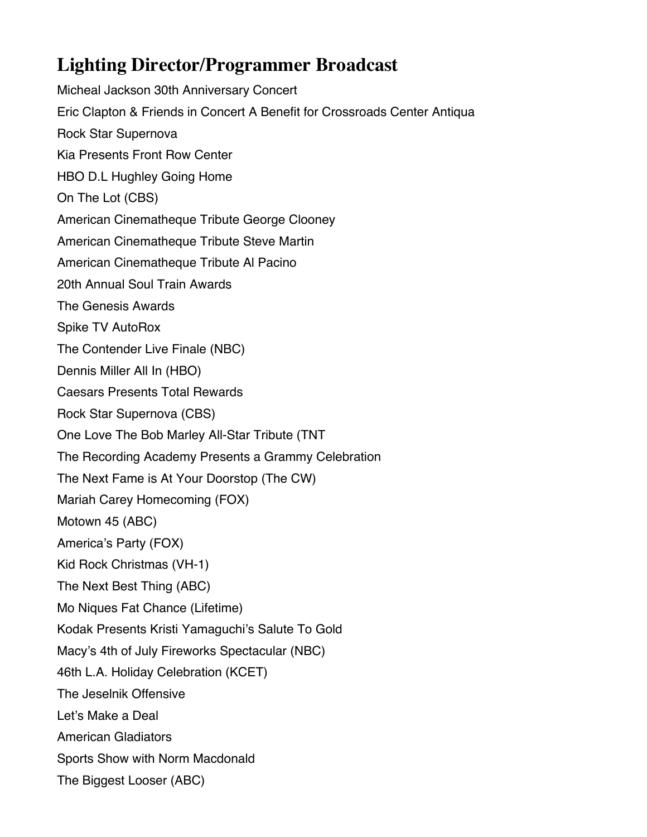### **Lighting Director/Programmer Broadcast**

Micheal Jackson 30th Anniversary Concert Eric Clapton & Friends in Concert A Benefit for Crossroads Center Antiqua Rock Star Supernova Kia Presents Front Row Center HBO D.L Hughley Going Home On The Lot (CBS) American Cinematheque Tribute George Clooney American Cinematheque Tribute Steve Martin American Cinematheque Tribute Al Pacino 20th Annual Soul Train Awards The Genesis Awards Spike TV AutoRox The Contender Live Finale (NBC) Dennis Miller All In (HBO) Caesars Presents Total Rewards Rock Star Supernova (CBS) One Love The Bob Marley All-Star Tribute (TNT The Recording Academy Presents a Grammy Celebration The Next Fame is At Your Doorstop (The CW) Mariah Carey Homecoming (FOX) Motown 45 (ABC) America's Party (FOX) Kid Rock Christmas (VH-1) The Next Best Thing (ABC) Mo Niques Fat Chance (Lifetime) Kodak Presents Kristi Yamaguchi's Salute To Gold Macy's 4th of July Fireworks Spectacular (NBC) 46th L.A. Holiday Celebration (KCET) The Jeselnik Offensive Let's Make a Deal American Gladiators Sports Show with Norm Macdonald The Biggest Looser (ABC)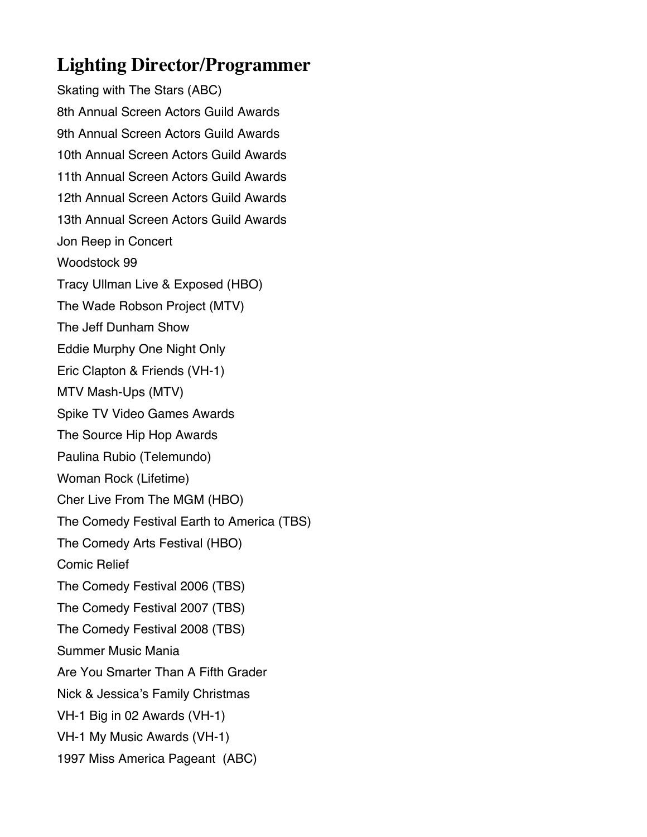### **Lighting Director/Programmer**

Skating with The Stars (ABC) 8th Annual Screen Actors Guild Awards 9th Annual Screen Actors Guild Awards 10th Annual Screen Actors Guild Awards 11th Annual Screen Actors Guild Awards 12th Annual Screen Actors Guild Awards 13th Annual Screen Actors Guild Awards Jon Reep in Concert Woodstock 99 Tracy Ullman Live & Exposed (HBO) The Wade Robson Project (MTV) The Jeff Dunham Show Eddie Murphy One Night Only Eric Clapton & Friends (VH-1) MTV Mash-Ups (MTV) Spike TV Video Games Awards The Source Hip Hop Awards Paulina Rubio (Telemundo) Woman Rock (Lifetime) Cher Live From The MGM (HBO) The Comedy Festival Earth to America (TBS) The Comedy Arts Festival (HBO) Comic Relief The Comedy Festival 2006 (TBS) The Comedy Festival 2007 (TBS) The Comedy Festival 2008 (TBS) Summer Music Mania Are You Smarter Than A Fifth Grader Nick & Jessica's Family Christmas VH-1 Big in 02 Awards (VH-1) VH-1 My Music Awards (VH-1) 1997 Miss America Pageant (ABC)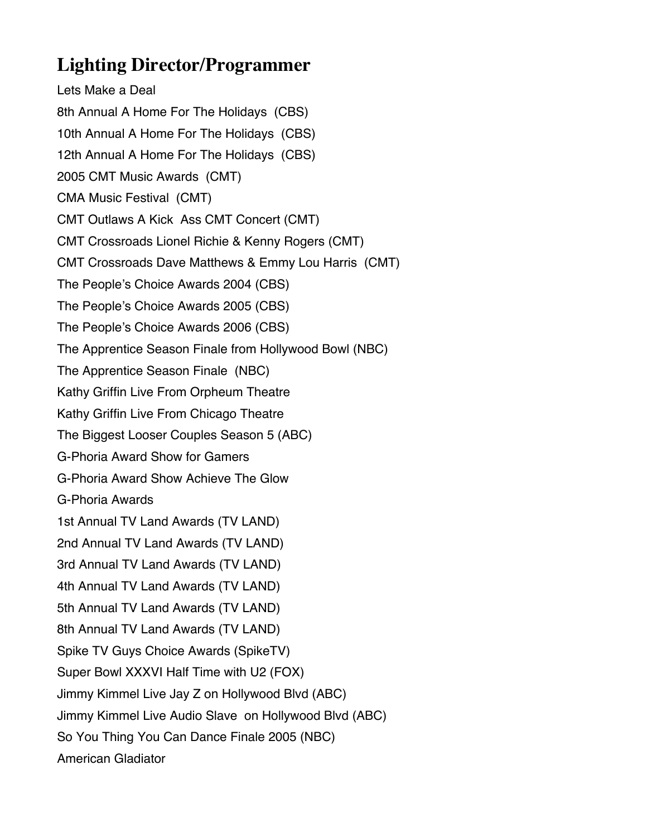### **Lighting Director/Programmer**

Lets Make a Deal 8th Annual A Home For The Holidays (CBS) 10th Annual A Home For The Holidays (CBS) 12th Annual A Home For The Holidays (CBS) 2005 CMT Music Awards (CMT) CMA Music Festival (CMT) CMT Outlaws A Kick Ass CMT Concert (CMT) CMT Crossroads Lionel Richie & Kenny Rogers (CMT) CMT Crossroads Dave Matthews & Emmy Lou Harris (CMT) The People's Choice Awards 2004 (CBS) The People's Choice Awards 2005 (CBS) The People's Choice Awards 2006 (CBS) The Apprentice Season Finale from Hollywood Bowl (NBC) The Apprentice Season Finale (NBC) Kathy Griffin Live From Orpheum Theatre Kathy Griffin Live From Chicago Theatre The Biggest Looser Couples Season 5 (ABC) G-Phoria Award Show for Gamers G-Phoria Award Show Achieve The Glow G-Phoria Awards 1st Annual TV Land Awards (TV LAND) 2nd Annual TV Land Awards (TV LAND) 3rd Annual TV Land Awards (TV LAND) 4th Annual TV Land Awards (TV LAND) 5th Annual TV Land Awards (TV LAND) 8th Annual TV Land Awards (TV LAND) Spike TV Guys Choice Awards (SpikeTV) Super Bowl XXXVI Half Time with U2 (FOX) Jimmy Kimmel Live Jay Z on Hollywood Blvd (ABC) Jimmy Kimmel Live Audio Slave on Hollywood Blvd (ABC) So You Thing You Can Dance Finale 2005 (NBC) American Gladiator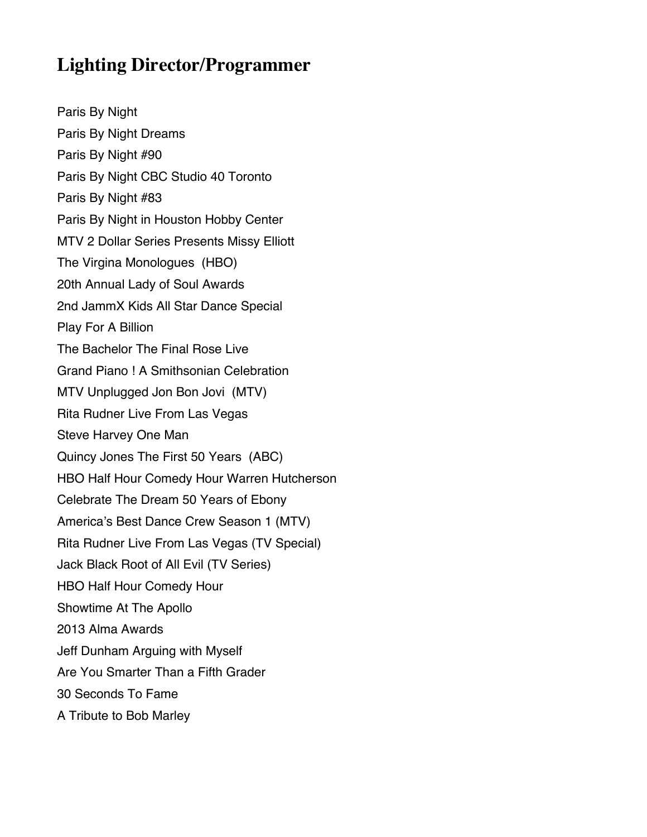### **Lighting Director/Programmer**

Paris By Night Paris By Night Dreams Paris By Night #90 Paris By Night CBC Studio 40 Toronto Paris By Night #83 Paris By Night in Houston Hobby Center MTV 2 Dollar Series Presents Missy Elliott The Virgina Monologues (HBO) 20th Annual Lady of Soul Awards 2nd JammX Kids All Star Dance Special Play For A Billion The Bachelor The Final Rose Live Grand Piano ! A Smithsonian Celebration MTV Unplugged Jon Bon Jovi (MTV) Rita Rudner Live From Las Vegas Steve Harvey One Man Quincy Jones The First 50 Years (ABC) HBO Half Hour Comedy Hour Warren Hutcherson Celebrate The Dream 50 Years of Ebony America's Best Dance Crew Season 1 (MTV) Rita Rudner Live From Las Vegas (TV Special) Jack Black Root of All Evil (TV Series) HBO Half Hour Comedy Hour Showtime At The Apollo 2013 Alma Awards Jeff Dunham Arguing with Myself Are You Smarter Than a Fifth Grader 30 Seconds To Fame A Tribute to Bob Marley